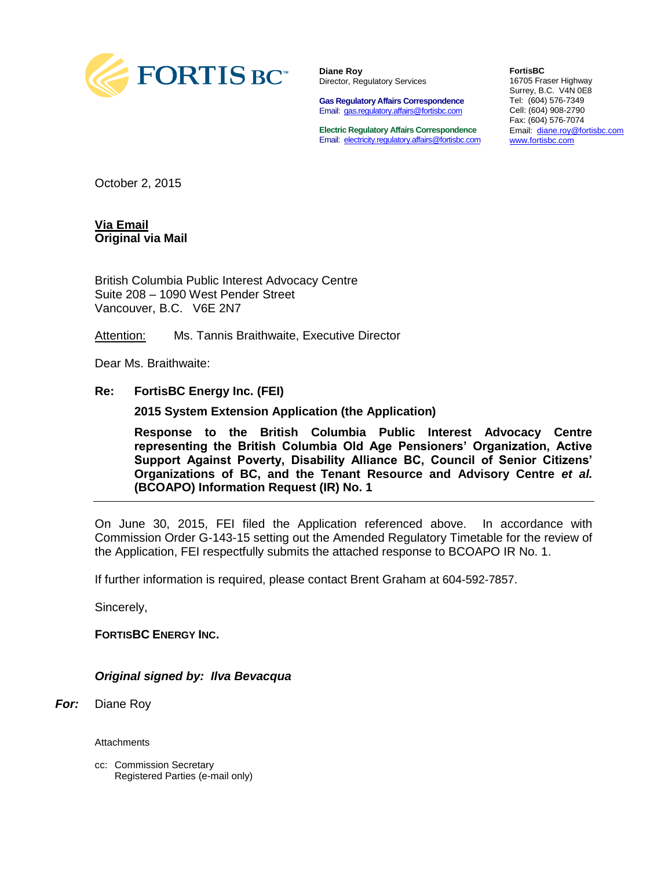

**Diane Roy** Director, Regulatory Services

**Gas Regulatory Affairs Correspondence** Email: [gas.regulatory.affairs@fortisbc.com](mailto:gas.regulatory.affairs@fortisbc.com)

**Electric Regulatory Affairs Correspondence** Email: [electricity.regulatory.affairs@fortisbc.com](mailto:electricity.regulatory.affairs@fortisbc.com)

**FortisBC**  16705 Fraser Highway Surrey, B.C. V4N 0E8 Tel: (604) 576-7349 Cell: (604) 908-2790 Fax: (604) 576-7074 Email: [diane.roy@fortisbc.com](mailto:diane.roy@fortisbc.com)  [www.fortisbc.com](http://www.fortisbc.com/)

October 2, 2015

**Via Email Original via Mail**

British Columbia Public Interest Advocacy Centre Suite 208 – 1090 West Pender Street Vancouver, B.C. V6E 2N7

Attention: Ms. Tannis Braithwaite, Executive Director

Dear Ms. Braithwaite:

#### **Re: FortisBC Energy Inc. (FEI)**

**2015 System Extension Application (the Application)**

**Response to the British Columbia Public Interest Advocacy Centre representing the British Columbia Old Age Pensioners' Organization, Active Support Against Poverty, Disability Alliance BC, Council of Senior Citizens' Organizations of BC, and the Tenant Resource and Advisory Centre** *et al.* **(BCOAPO) Information Request (IR) No. 1**

On June 30, 2015, FEI filed the Application referenced above. In accordance with Commission Order G-143-15 setting out the Amended Regulatory Timetable for the review of the Application, FEI respectfully submits the attached response to BCOAPO IR No. 1.

If further information is required, please contact Brent Graham at 604-592-7857.

Sincerely,

**FORTISBC ENERGY INC.**

*Original signed by: Ilva Bevacqua*

*For:* Diane Roy

**Attachments** 

cc: Commission Secretary Registered Parties (e-mail only)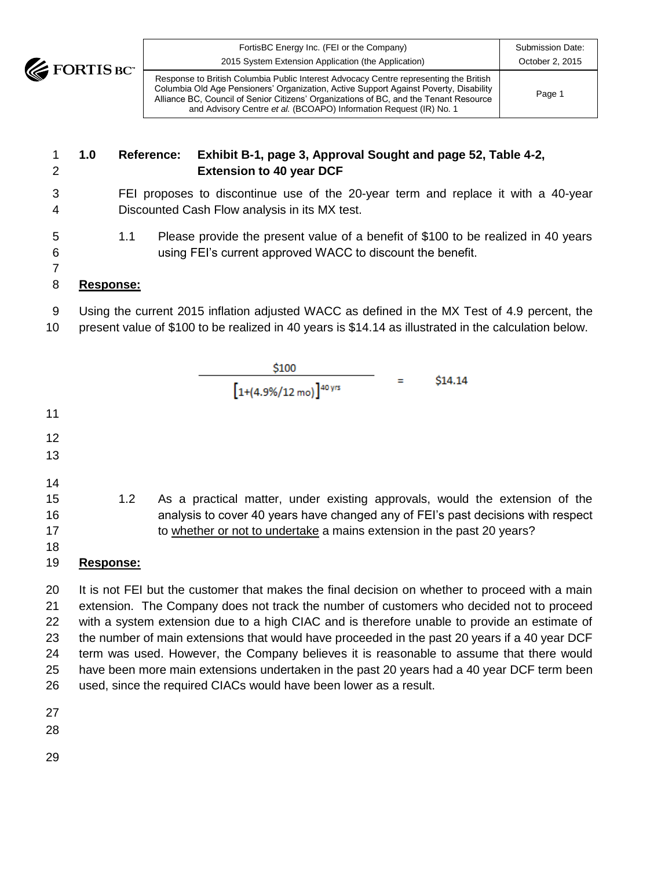

| $\overline{\textbf{5}}$ BC" | FortisBC Energy Inc. (FEI or the Company)<br>2015 System Extension Application (the Application)                                                                                                                                                                                                                                              | Submission Date:<br>October 2, 2015 |
|-----------------------------|-----------------------------------------------------------------------------------------------------------------------------------------------------------------------------------------------------------------------------------------------------------------------------------------------------------------------------------------------|-------------------------------------|
|                             | Response to British Columbia Public Interest Advocacy Centre representing the British<br>Columbia Old Age Pensioners' Organization, Active Support Against Poverty, Disability<br>Alliance BC, Council of Senior Citizens' Organizations of BC, and the Tenant Resource<br>and Advisory Centre et al. (BCOAPO) Information Request (IR) No. 1 | Page 1                              |

# **1.0 Reference: Exhibit B-1, page 3, Approval Sought and page 52, Table 4-2, Extension to 40 year DCF**

- FEI proposes to discontinue use of the 20-year term and replace it with a 40-year Discounted Cash Flow analysis in its MX test.
- 1.1 Please provide the present value of a benefit of \$100 to be realized in 40 years using FEI's current approved WACC to discount the benefit.

## **Response:**

- Using the current 2015 inflation adjusted WACC as defined in the MX Test of 4.9 percent, the
- present value of \$100 to be realized in 40 years is \$14.14 as illustrated in the calculation below.



 extension. The Company does not track the number of customers who decided not to proceed with a system extension due to a high CIAC and is therefore unable to provide an estimate of the number of main extensions that would have proceeded in the past 20 years if a 40 year DCF term was used. However, the Company believes it is reasonable to assume that there would have been more main extensions undertaken in the past 20 years had a 40 year DCF term been used, since the required CIACs would have been lower as a result.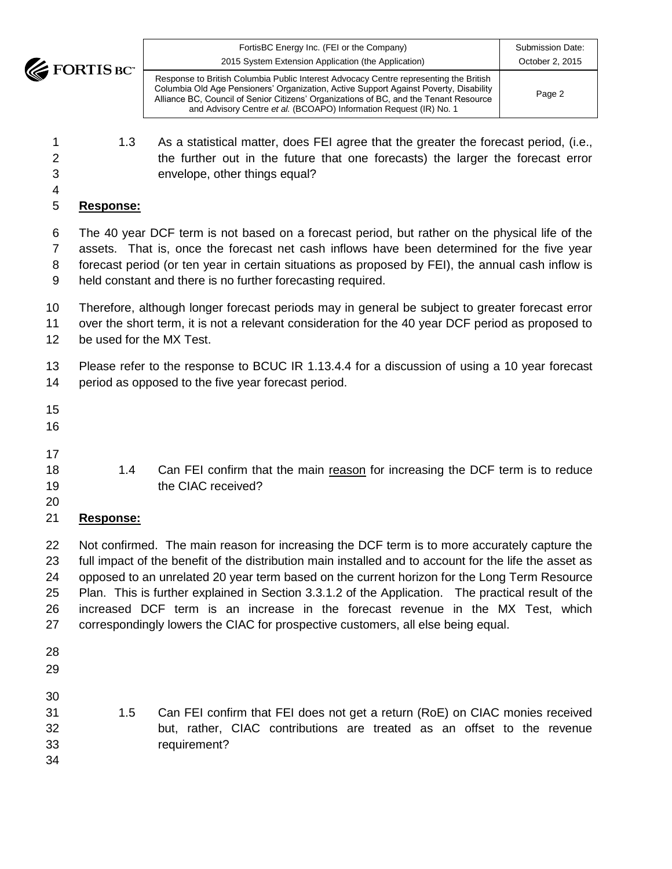**EXECUTE DE** 

| <b>CIM</b><br>U | FortisBC Energy Inc. (FEI or the Company)<br>2015 System Extension Application (the Application)                                                                                                                                                                                                                                              | Submission Date:<br>October 2, 2015 |
|-----------------|-----------------------------------------------------------------------------------------------------------------------------------------------------------------------------------------------------------------------------------------------------------------------------------------------------------------------------------------------|-------------------------------------|
|                 | Response to British Columbia Public Interest Advocacy Centre representing the British<br>Columbia Old Age Pensioners' Organization, Active Support Against Poverty, Disability<br>Alliance BC, Council of Senior Citizens' Organizations of BC, and the Tenant Resource<br>and Advisory Centre et al. (BCOAPO) Information Request (IR) No. 1 | Page 2                              |

 1.3 As a statistical matter, does FEI agree that the greater the forecast period, (i.e., 2 the further out in the future that one forecasts) the larger the forecast error envelope, other things equal?

### **Response:**

 The 40 year DCF term is not based on a forecast period, but rather on the physical life of the assets. That is, once the forecast net cash inflows have been determined for the five year forecast period (or ten year in certain situations as proposed by FEI), the annual cash inflow is held constant and there is no further forecasting required.

- Therefore, although longer forecast periods may in general be subject to greater forecast error
- over the short term, it is not a relevant consideration for the 40 year DCF period as proposed to
- be used for the MX Test.

 Please refer to the response to BCUC IR 1.13.4.4 for a discussion of using a 10 year forecast period as opposed to the five year forecast period.

- 
- 
- 18 1.4 Can FEI confirm that the main reason for increasing the DCF term is to reduce 19 the CIAC received?
- 

## **Response:**

 Not confirmed. The main reason for increasing the DCF term is to more accurately capture the full impact of the benefit of the distribution main installed and to account for the life the asset as opposed to an unrelated 20 year term based on the current horizon for the Long Term Resource Plan. This is further explained in Section 3.3.1.2 of the Application. The practical result of the increased DCF term is an increase in the forecast revenue in the MX Test, which correspondingly lowers the CIAC for prospective customers, all else being equal.

- 
- 

- 1.5 Can FEI confirm that FEI does not get a return (RoE) on CIAC monies received but, rather, CIAC contributions are treated as an offset to the revenue requirement?
-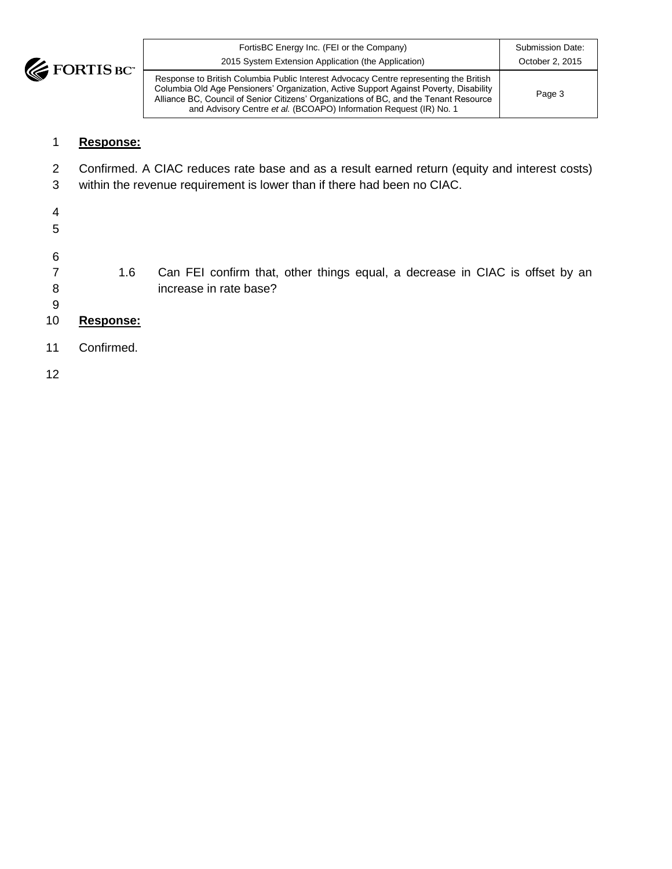

| FortisBC Energy Inc. (FEI or the Company)<br>2015 System Extension Application (the Application)                                                                                                                                                                                                                                              | Submission Date:<br>October 2, 2015 |
|-----------------------------------------------------------------------------------------------------------------------------------------------------------------------------------------------------------------------------------------------------------------------------------------------------------------------------------------------|-------------------------------------|
| Response to British Columbia Public Interest Advocacy Centre representing the British<br>Columbia Old Age Pensioners' Organization, Active Support Against Poverty, Disability<br>Alliance BC, Council of Senior Citizens' Organizations of BC, and the Tenant Resource<br>and Advisory Centre et al. (BCOAPO) Information Request (IR) No. 1 | Page 3                              |

## 1 **Response:**

- 2 Confirmed. A CIAC reduces rate base and as a result earned return (equity and interest costs)
- 3 within the revenue requirement is lower than if there had been no CIAC.
- 4 5
- 
- 6
- 7 1.6 Can FEI confirm that, other things equal, a decrease in CIAC is offset by an 8 increase in rate base?
- 9
- 10 **Response:**
- 11 Confirmed.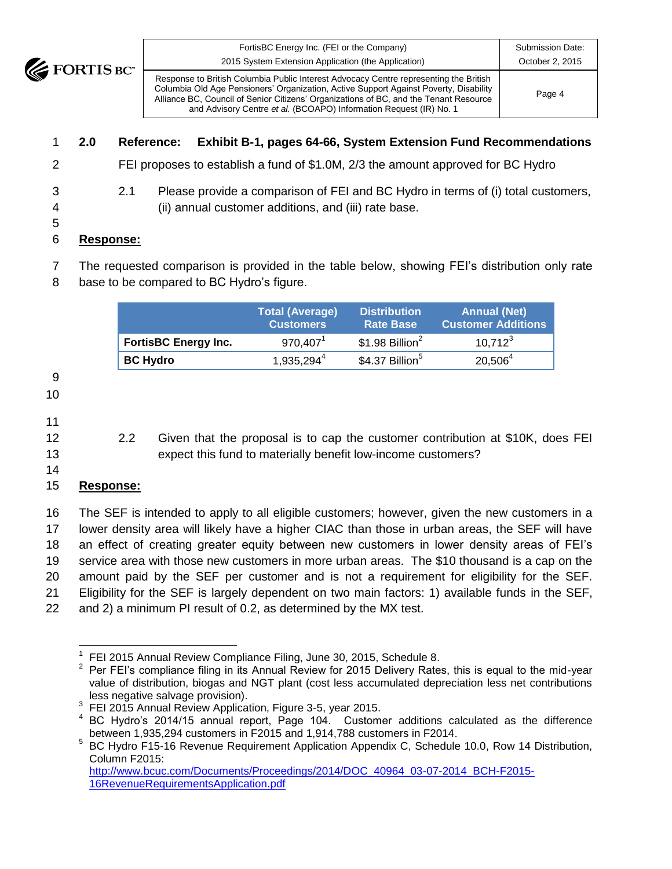**EXECUTE** 

| BC" | FortisBC Energy Inc. (FEI or the Company)<br>2015 System Extension Application (the Application)                                                                                                                                                                                                                                              | Submission Date:<br>October 2, 2015 |
|-----|-----------------------------------------------------------------------------------------------------------------------------------------------------------------------------------------------------------------------------------------------------------------------------------------------------------------------------------------------|-------------------------------------|
|     | Response to British Columbia Public Interest Advocacy Centre representing the British<br>Columbia Old Age Pensioners' Organization, Active Support Against Poverty, Disability<br>Alliance BC, Council of Senior Citizens' Organizations of BC, and the Tenant Resource<br>and Advisory Centre et al. (BCOAPO) Information Request (IR) No. 1 | Page 4                              |

# 1 **2.0 Reference: Exhibit B-1, pages 64-66, System Extension Fund Recommendations**

- 2 FEI proposes to establish a fund of \$1.0M, 2/3 the amount approved for BC Hydro
- 3 2.1 Please provide a comparison of FEI and BC Hydro in terms of (i) total customers, 4 (ii) annual customer additions, and (iii) rate base.
- 5

### 6 **Response:**

7 The requested comparison is provided in the table below, showing FEI's distribution only rate 8 base to be compared to BC Hydro's figure.

|                             | <b>Total (Average)</b><br><b>Customers</b> | <b>Distribution</b><br><b>Rate Base</b> | <b>Annual (Net)</b><br><b>Customer Additions</b> |
|-----------------------------|--------------------------------------------|-----------------------------------------|--------------------------------------------------|
| <b>FortisBC Energy Inc.</b> | $970,407^1$                                | $$1.98$ Billion <sup>2</sup>            | $10.712^{3}$                                     |
| <b>BC Hydro</b>             | $1,935,294^4$                              | \$4.37 Billion <sup>5</sup>             | $20,506^4$                                       |
|                             |                                            |                                         |                                                  |

- 9 10
- 
- 11
- 

12 2.2 Given that the proposal is to cap the customer contribution at \$10K, does FEI 13 expect this fund to materially benefit low-income customers?

#### 14 15 **Response:**

 The SEF is intended to apply to all eligible customers; however, given the new customers in a lower density area will likely have a higher CIAC than those in urban areas, the SEF will have an effect of creating greater equity between new customers in lower density areas of FEI's service area with those new customers in more urban areas. The \$10 thousand is a cap on the amount paid by the SEF per customer and is not a requirement for eligibility for the SEF. Eligibility for the SEF is largely dependent on two main factors: 1) available funds in the SEF, and 2) a minimum PI result of 0.2, as determined by the MX test.

[http://www.bcuc.com/Documents/Proceedings/2014/DOC\\_40964\\_03-07-2014\\_BCH-F2015-](http://www.bcuc.com/Documents/Proceedings/2014/DOC_40964_03-07-2014_BCH-F2015-16RevenueRequirementsApplication.pdf) [16RevenueRequirementsApplication.pdf](http://www.bcuc.com/Documents/Proceedings/2014/DOC_40964_03-07-2014_BCH-F2015-16RevenueRequirementsApplication.pdf)

 $\overline{\phantom{a}}$ 1 FEI 2015 Annual Review Compliance Filing, June 30, 2015, Schedule 8.

<sup>2</sup> Per FEI's compliance filing in its Annual Review for 2015 Delivery Rates, this is equal to the mid-year value of distribution, biogas and NGT plant (cost less accumulated depreciation less net contributions less negative salvage provision).

<sup>&</sup>lt;sup>3</sup> FEI 2015 Annual Review Application, Figure 3-5, year 2015.

<sup>&</sup>lt;sup>4</sup> BC Hydro's 2014/15 annual report, Page 104. Customer additions calculated as the difference between 1,935,294 customers in F2015 and 1,914,788 customers in F2014.

<sup>5</sup> BC Hydro F15-16 Revenue Requirement Application Appendix C, Schedule 10.0, Row 14 Distribution, Column F2015: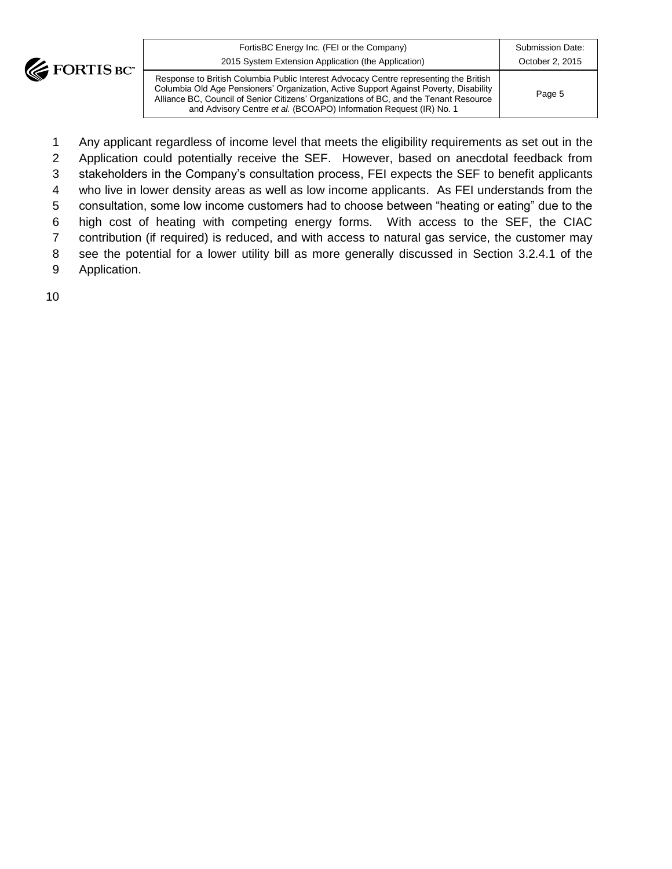

| FortisBC Energy Inc. (FEI or the Company)<br>2015 System Extension Application (the Application)                                                                                                                                                                                                                                              | Submission Date:<br>October 2, 2015 |
|-----------------------------------------------------------------------------------------------------------------------------------------------------------------------------------------------------------------------------------------------------------------------------------------------------------------------------------------------|-------------------------------------|
| Response to British Columbia Public Interest Advocacy Centre representing the British<br>Columbia Old Age Pensioners' Organization, Active Support Against Poverty, Disability<br>Alliance BC, Council of Senior Citizens' Organizations of BC, and the Tenant Resource<br>and Advisory Centre et al. (BCOAPO) Information Request (IR) No. 1 | Page 5                              |

 Any applicant regardless of income level that meets the eligibility requirements as set out in the Application could potentially receive the SEF. However, based on anecdotal feedback from stakeholders in the Company's consultation process, FEI expects the SEF to benefit applicants who live in lower density areas as well as low income applicants. As FEI understands from the consultation, some low income customers had to choose between "heating or eating" due to the high cost of heating with competing energy forms. With access to the SEF, the CIAC contribution (if required) is reduced, and with access to natural gas service, the customer may see the potential for a lower utility bill as more generally discussed in Section 3.2.4.1 of the Application.